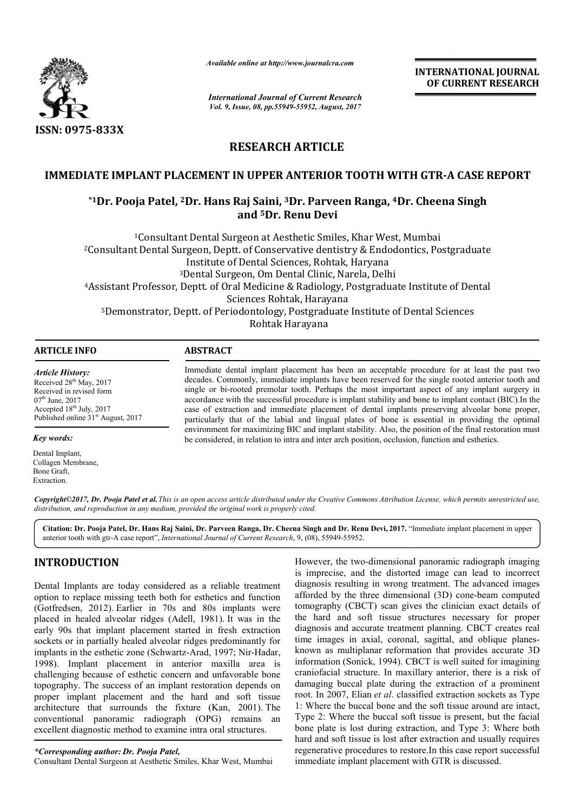

*Available online at http://www.journal http://www.journalcra.com*

*International Journal of Current Research Vol. 9, Issue, 08, pp.55949-55952, August, 2017*

**INTERNATIONAL JOURNAL OF CURRENT RESEARCH** 

# **RESEARCH ARTICLE**

## **IMMEDIATE IMPLANT PLACEMENT IN UPPER ANTERIOR TOOTH WITH GTR GTR-A CASE REPORT**

## **\*1Dr. Pooja Patel, 2Dr. Hans Raj Saini, 3Dr. Parveen Ranga, 4Dr. Cheena Singh and 5Dr. Renu Devi**

<sup>1</sup>Consultant Dental Surgeon at Aesthetic Smiles, Khar West, Mumbai <sup>1</sup>Consultant Dental Surgeon at Aesthetic Smiles, Khar West, Mumbai<br><sup>2</sup>Consultant Dental Surgeon, Deptt. of Conservative dentistry & Endodontics, Postgraduate Institute of Dental Sciences, Rohtak, Haryana 3Dental Surgeon, Om Dental Clinic, Narela, Delhi <sup>3</sup>Dental Surgeon, Om Dental Clinic, Narela, Delhi<br>Assistant Professor, Deptt. of Oral Medicine & Radiology, Postgraduate Institute of Dental 5Demonstrator, Deptt. of Periodontology, Postgraduate Institute of Dental Sciences Sciences Rohtak, Harayana Rohtak Harayana

| ARTIC<br>™ E INE∩ |                                                                                                          |
|-------------------|----------------------------------------------------------------------------------------------------------|
|                   | Tainis diake denkel ininfank afserniank her besin en ersamkelele namestding. Can ak legak klei neak kiis |

*Article History:* Received 28<sup>th</sup> May, 2017 Received in revised form  $07<sup>th</sup>$  June, 2017 Accepted 18<sup>th</sup> July, 2017 Published online  $31<sup>st</sup>$  August, 2017

*Key words:*

Dental Implant, Collagen Membrane, Bone Graft, Extraction.

Immediate dental implant placement has been an acceptable procedure for at least the past two decades. Commonly, immediate implants have been reserved for the single rooted anterior tooth and single or bi bi-rooted premolar tooth. Perhaps the most important aspect of any implant surgery in accorda accordance with the successful procedure is implant stability and bone to implant contact (BIC).In the case of extraction and immediate placement of dental implants preserving alveolar bone proper, particularly that of the labial and lingual plates of bone is ess environment for maximizing BIC and implant stability. Also, the position of the final restoration must environment for maximizing BIC and implant stability. Also, the position of the final restoration be considered, in relation to intra and inter arch position, occlusion, function and esthetics. Immediate dental implant placement has been an acceptable procedure for at least the past two decades. Commonly, immediate implants have been reserved for the single rooted anterior tooth and single or bi-rooted premolar t

Copyright©2017, Dr. Pooja Patel et al. This is an open access article distributed under the Creative Commons Attribution License, which permits unrestricted use, *distribution, and reproduction in any medium, provided the original work is properly cited.*

Citation: Dr. Pooja Patel, Dr. Hans Raj Saini, Dr. Parveen Ranga, Dr. Cheena Singh and Dr. Renu Devi, 2017. "Immediate implant placement in upper anterior tooth with gtr-A case report", *International Journal of Current Research* , 9, (08), 55949-55952.

# **INTRODUCTION**

Dental Implants are today considered as a reliable treatment option to replace missing teeth both for esthetics and function (Gotfredsen, 2012). Earlier in 70s and 80s implants were placed in healed alveolar ridges (Adell, 1981). It was in the early 90s that implant placement started in fresh extraction sockets or in partially healed alveolar ridges predominantly for implants in the esthetic zone (Schwartz-Arad, 1997; Nir-Hadar, 1998). Implant placement in anterior maxilla area is challenging because of esthetic concern and unfavorable bone topography. The success of an implant restoration depends on proper implant placement and the hard and soft tissue architecture that surrounds the fixture (Kan, 2001). The conventional panoramic radiograph (OPG) remains an excellent diagnostic method to examine intra oral structures.

*\*Corresponding author: Dr. Pooja Patel,* Consultant Dental Surgeon at Aesthetic Smiles, Khar West, Mumbai However, the two-dimensional panoramic radiograph imaging is imprecise, and the distorted image can lead to incorrect diagnosis resulting in wrong treatment. The advanced images However, the two-dimensional panoramic radiograph imaging<br>is imprecise, and the distorted image can lead to incorrect<br>diagnosis resulting in wrong treatment. The advanced images<br>afforded by the three dimensional (3D) conetomography (CBCT) scan gives the clinician exact details of the hard and soft tissue structures necessary for proper diagnosis and accurate treatment planning. CBCT creates real time images in axial, coronal, sagittal, and oblique planes known as multiplanar reformation that provides accurate 3D information (Sonick, 1994). CBCT is well suited for imagining craniofacial structure. In maxillary anterior, there is a risk of damaging buccal plate during the extraction of a prominent root. In 2007, Elian *et al*. classified extractio 1: Where the buccal bone and the soft tissue around are intact, Type 2: Where the buccal soft tissue is present, but the facial bone plate is lost during extraction, and Type 3: Where both hard and soft tissue is lost after extraction and usually requires regenerative procedures to restore.In this case report successful immediate implant placement with GTR is discussed. beyappy (CBCT) scan gives the clinician exact details of hard and soft tissue structures necessary for proper nosis and accurate treatment planning. CBCT creates real images in axial, coronal, sagittal, and oblique planesis well suited for imagining<br>anterior, there is a risk of<br>extraction of a prominent<br>extraction sockets as Type the buccal bone and the soft tissue around are intact,<br>Where the buccal soft tissue is present, but the facial<br>e is lost during extraction, and Type 3: Where both<br>soft tissue is lost after extraction and usually requires INTERNATIONAL JOURNAL<br>
IDENTIFIENT CONSIDENT CONSIDENT CONSIDENT CONTROL CONTROL CONTROL CONTROL CONTROL 2017<br>
TOOTH WITH GTR-A CASE REPORT<br>
TROUGHE IN A SEMICULAT CONTROL CONTROL CONTROL RESENSANCE THE CONTROL CONTROL (19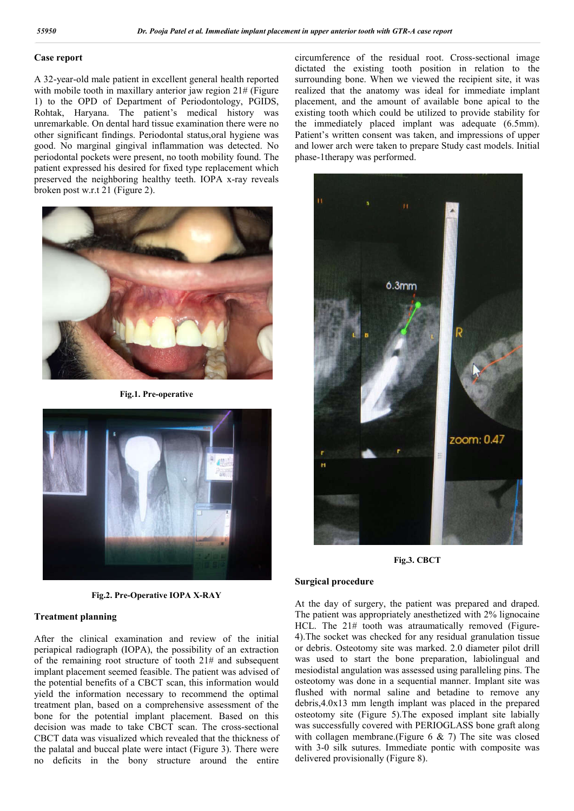### **Case report**

A 32-year-old male patient in excellent general health reported with mobile tooth in maxillary anterior jaw region 21# (Figure 1) to the OPD of Department of Periodontology, PGIDS, Rohtak, Haryana. The patient's medical history was unremarkable. On dental hard tissue examination there were no other significant findings. Periodontal status,oral hygiene was good. No marginal gingival inflammation was detected. No periodontal pockets were present, no tooth mobility found. The patient expressed his desired for fixed type replacement which preserved the neighboring healthy teeth. IOPA x-ray reveals broken post w.r.t 21 (Figure 2).



**Fig.1. Pre-operative**



**Fig.2. Pre-Operative IOPA X-RAY**

#### **Treatment planning**

After the clinical examination and review of the initial periapical radiograph (IOPA), the possibility of an extraction of the remaining root structure of tooth 21# and subsequent implant placement seemed feasible. The patient was advised of the potential benefits of a CBCT scan, this information would yield the information necessary to recommend the optimal treatment plan, based on a comprehensive assessment of the bone for the potential implant placement. Based on this decision was made to take CBCT scan. The cross-sectional CBCT data was visualized which revealed that the thickness of the palatal and buccal plate were intact (Figure 3). There were no deficits in the bony structure around the entire

circumference of the residual root. Cross-sectional image dictated the existing tooth position in relation to the surrounding bone. When we viewed the recipient site, it was realized that the anatomy was ideal for immediate implant placement, and the amount of available bone apical to the existing tooth which could be utilized to provide stability for the immediately placed implant was adequate (6.5mm). Patient's written consent was taken, and impressions of upper and lower arch were taken to prepare Study cast models. Initial phase-1therapy was performed.



**Fig.3. CBCT**

#### **Surgical procedure**

At the day of surgery, the patient was prepared and draped. The patient was appropriately anesthetized with 2% lignocaine HCL. The 21# tooth was atraumatically removed (Figure-4).The socket was checked for any residual granulation tissue or debris. Osteotomy site was marked. 2.0 diameter pilot drill was used to start the bone preparation, labiolingual and mesiodistal angulation was assessed using paralleling pins. The osteotomy was done in a sequential manner. Implant site was flushed with normal saline and betadine to remove any debris,4.0x13 mm length implant was placed in the prepared osteotomy site (Figure 5).The exposed implant site labially was successfully covered with PERIOGLASS bone graft along with collagen membrane.(Figure  $6 \& 7$ ) The site was closed with 3-0 silk sutures. Immediate pontic with composite was delivered provisionally (Figure 8).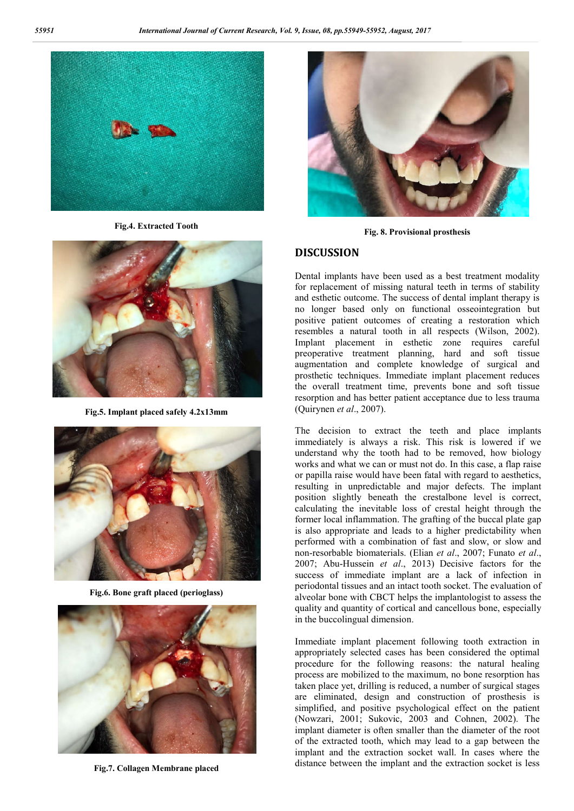

**Fig.4. Extracted Tooth**



**Fig.5. Implant placed safely 4.2x13mm**



**Fig.6. Bone graft placed (perioglass)**



**Fig.7. Collagen Membrane placed**



**Fig. 8. Provisional prosthesis**

#### **DISCUSSION**

Dental implants have been used as a best treatment modality for replacement of missing natural teeth in terms of stability and esthetic outcome. The success of dental implant therapy is no longer based only on functional osseointegration but positive patient outcomes of creating a restoration which resembles a natural tooth in all respects (Wilson, 2002). Implant placement in esthetic zone requires careful preoperative treatment planning, hard and soft tissue augmentation and complete knowledge of surgical and prosthetic techniques. Immediate implant placement reduces the overall treatment time, prevents bone and soft tissue resorption and has better patient acceptance due to less trauma (Quirynen *et al*., 2007).

The decision to extract the teeth and place implants immediately is always a risk. This risk is lowered if we understand why the tooth had to be removed, how biology works and what we can or must not do. In this case, a flap raise or papilla raise would have been fatal with regard to aesthetics, resulting in unpredictable and major defects. The implant position slightly beneath the crestalbone level is correct, calculating the inevitable loss of crestal height through the former local inflammation. The grafting of the buccal plate gap is also appropriate and leads to a higher predictability when performed with a combination of fast and slow, or slow and non-resorbable biomaterials. (Elian *et al*., 2007; Funato *et al*., 2007; Abu-Hussein *et al*., 2013) Decisive factors for the success of immediate implant are a lack of infection in periodontal tissues and an intact tooth socket. The evaluation of alveolar bone with CBCT helps the implantologist to assess the quality and quantity of cortical and cancellous bone, especially in the buccolingual dimension.

Immediate implant placement following tooth extraction in appropriately selected cases has been considered the optimal procedure for the following reasons: the natural healing process are mobilized to the maximum, no bone resorption has taken place yet, drilling is reduced, a number of surgical stages are eliminated, design and construction of prosthesis is simplified, and positive psychological effect on the patient (Nowzari, 2001; Sukovic, 2003 and Cohnen, 2002). The implant diameter is often smaller than the diameter of the root of the extracted tooth, which may lead to a gap between the implant and the extraction socket wall. In cases where the distance between the implant and the extraction socket is less